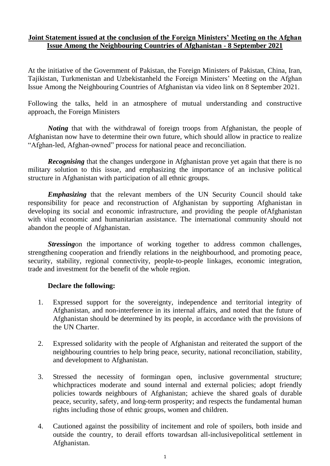## **Joint Statement issued at the conclusion of the Foreign Ministers' Meeting on the Afghan Issue Among the Neighbouring Countries of Afghanistan - 8 September 2021**

At the initiative of the Government of Pakistan, the Foreign Ministers of Pakistan, China, Iran, Tajikistan, Turkmenistan and Uzbekistanheld the Foreign Ministers' Meeting on the Afghan Issue Among the Neighbouring Countries of Afghanistan via video link on 8 September 2021.

Following the talks, held in an atmosphere of mutual understanding and constructive approach, the Foreign Ministers

*Noting* that with the withdrawal of foreign troops from Afghanistan, the people of Afghanistan now have to determine their own future, which should allow in practice to realize "Afghan-led, Afghan-owned" process for national peace and reconciliation.

*Recognising* that the changes undergone in Afghanistan prove yet again that there is no military solution to this issue, and emphasizing the importance of an inclusive political structure in Afghanistan with participation of all ethnic groups.

*Emphasizing* that the relevant members of the UN Security Council should take responsibility for peace and reconstruction of Afghanistan by supporting Afghanistan in developing its social and economic infrastructure, and providing the people ofAfghanistan with vital economic and humanitarian assistance. The international community should not abandon the people of Afghanistan.

*Stressing* on the importance of working together to address common challenges, strengthening cooperation and friendly relations in the neighbourhood, and promoting peace, security, stability, regional connectivity, people-to-people linkages, economic integration, trade and investment for the benefit of the whole region.

## **Declare the following:**

- 1. Expressed support for the sovereignty, independence and territorial integrity of Afghanistan, and non-interference in its internal affairs, and noted that the future of Afghanistan should be determined by its people, in accordance with the provisions of the UN Charter.
- 2. Expressed solidarity with the people of Afghanistan and reiterated the support of the neighbouring countries to help bring peace, security, national reconciliation, stability, and development to Afghanistan.
- 3. Stressed the necessity of formingan open, inclusive governmental structure; whichpractices moderate and sound internal and external policies; adopt friendly policies toward*s* neighbours of Afghanistan; achieve the shared goals of durable peace, security, safety, and long-term prosperity; and respects the fundamental human rights including those of ethnic groups, women and children.
- 4. Cautioned against the possibility of incitement and role of spoilers, both inside and outside the country, to derail efforts towardsan all-inclusivepolitical settlement in Afghanistan.